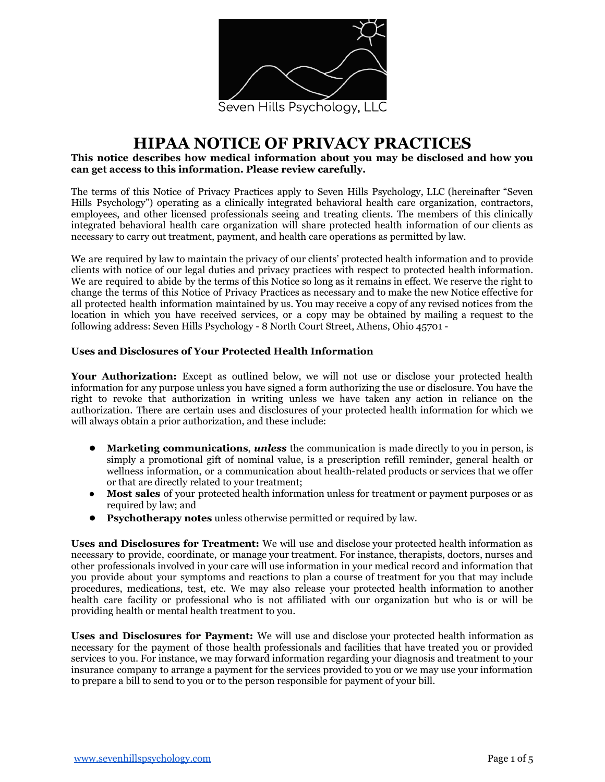

# **HIPAA NOTICE OF PRIVACY PRACTICES**

## **This notice describes how medical information about you may be disclosed and how you can get access to this information. Please review carefully.**

The terms of this Notice of Privacy Practices apply to Seven Hills Psychology, LLC (hereinafter "Seven Hills Psychology") operating as a clinically integrated behavioral health care organization, contractors, employees, and other licensed professionals seeing and treating clients. The members of this clinically integrated behavioral health care organization will share protected health information of our clients as necessary to carry out treatment, payment, and health care operations as permitted by law.

We are required by law to maintain the privacy of our clients' protected health information and to provide clients with notice of our legal duties and privacy practices with respect to protected health information. We are required to abide by the terms of this Notice so long as it remains in effect. We reserve the right to change the terms of this Notice of Privacy Practices as necessary and to make the new Notice effective for all protected health information maintained by us. You may receive a copy of any revised notices from the location in which you have received services, or a copy may be obtained by mailing a request to the following address: Seven Hills Psychology - 8 North Court Street, Athens, Ohio 45701 -

## **Uses and Disclosures of Your Protected Health Information**

**Your Authorization:** Except as outlined below, we will not use or disclose your protected health information for any purpose unless you have signed a form authorizing the use or disclosure. You have the right to revoke that authorization in writing unless we have taken any action in reliance on the authorization. There are certain uses and disclosures of your protected health information for which we will always obtain a prior authorization, and these include:

- **Marketing communications**, *unless* the communication is made directly to you in person, is simply a promotional gift of nominal value, is a prescription refill reminder, general health or wellness information, or a communication about health-related products or services that we offer or that are directly related to your treatment;
- **Most sales** of your protected health information unless for treatment or payment purposes or as required by law; and
- **Psychotherapy notes** unless otherwise permitted or required by law.

**Uses and Disclosures for Treatment:** We will use and disclose your protected health information as necessary to provide, coordinate, or manage your treatment. For instance, therapists, doctors, nurses and other professionals involved in your care will use information in your medical record and information that you provide about your symptoms and reactions to plan a course of treatment for you that may include procedures, medications, test, etc. We may also release your protected health information to another health care facility or professional who is not affiliated with our organization but who is or will be providing health or mental health treatment to you.

**Uses and Disclosures for Payment:** We will use and disclose your protected health information as necessary for the payment of those health professionals and facilities that have treated you or provided services to you. For instance, we may forward information regarding your diagnosis and treatment to your insurance company to arrange a payment for the services provided to you or we may use your information to prepare a bill to send to you or to the person responsible for payment of your bill.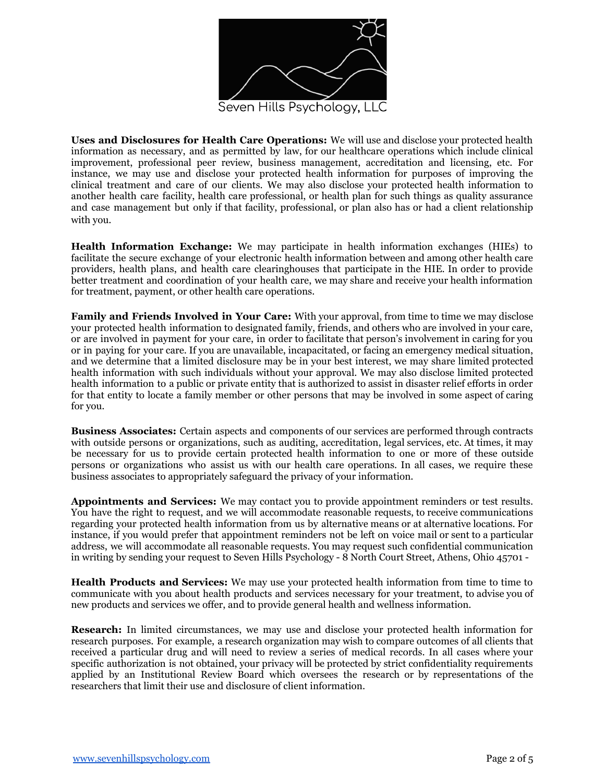

**Uses and Disclosures for Health Care Operations:** We will use and disclose your protected health information as necessary, and as permitted by law, for our healthcare operations which include clinical improvement, professional peer review, business management, accreditation and licensing, etc. For instance, we may use and disclose your protected health information for purposes of improving the clinical treatment and care of our clients. We may also disclose your protected health information to another health care facility, health care professional, or health plan for such things as quality assurance and case management but only if that facility, professional, or plan also has or had a client relationship with you.

**Health Information Exchange:** We may participate in health information exchanges (HIEs) to facilitate the secure exchange of your electronic health information between and among other health care providers, health plans, and health care clearinghouses that participate in the HIE. In order to provide better treatment and coordination of your health care, we may share and receive your health information for treatment, payment, or other health care operations.

**Family and Friends Involved in Your Care:** With your approval, from time to time we may disclose your protected health information to designated family, friends, and others who are involved in your care, or are involved in payment for your care, in order to facilitate that person's involvement in caring for you or in paying for your care. If you are unavailable, incapacitated, or facing an emergency medical situation, and we determine that a limited disclosure may be in your best interest, we may share limited protected health information with such individuals without your approval. We may also disclose limited protected health information to a public or private entity that is authorized to assist in disaster relief efforts in order for that entity to locate a family member or other persons that may be involved in some aspect of caring for you.

**Business Associates:** Certain aspects and components of our services are performed through contracts with outside persons or organizations, such as auditing, accreditation, legal services, etc. At times, it may be necessary for us to provide certain protected health information to one or more of these outside persons or organizations who assist us with our health care operations. In all cases, we require these business associates to appropriately safeguard the privacy of your information.

**Appointments and Services:** We may contact you to provide appointment reminders or test results. You have the right to request, and we will accommodate reasonable requests, to receive communications regarding your protected health information from us by alternative means or at alternative locations. For instance, if you would prefer that appointment reminders not be left on voice mail or sent to a particular address, we will accommodate all reasonable requests. You may request such confidential communication in writing by sending your request to Seven Hills Psychology - 8 North Court Street, Athens, Ohio 45701 -

**Health Products and Services:** We may use your protected health information from time to time to communicate with you about health products and services necessary for your treatment, to advise you of new products and services we offer, and to provide general health and wellness information.

**Research:** In limited circumstances, we may use and disclose your protected health information for research purposes. For example, a research organization may wish to compare outcomes of all clients that received a particular drug and will need to review a series of medical records. In all cases where your specific authorization is not obtained, your privacy will be protected by strict confidentiality requirements applied by an Institutional Review Board which oversees the research or by representations of the researchers that limit their use and disclosure of client information.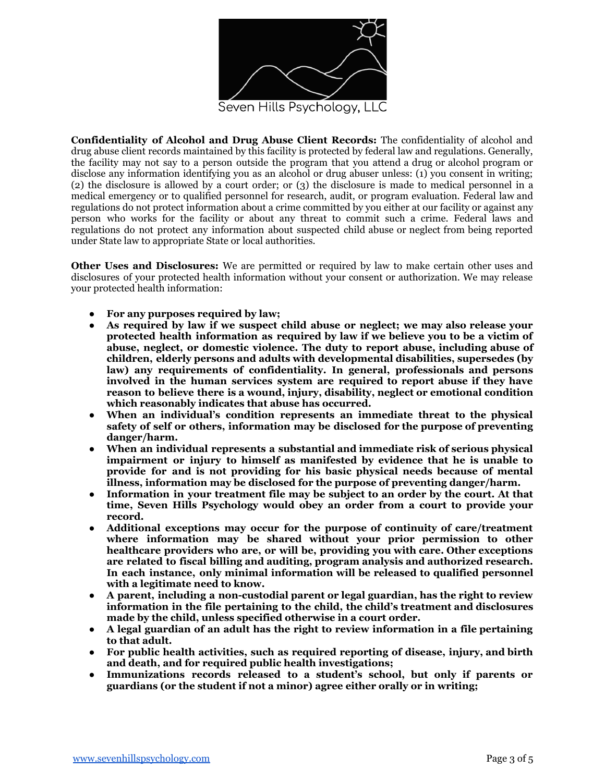

**Confidentiality of Alcohol and Drug Abuse Client Records:** The confidentiality of alcohol and drug abuse client records maintained by this facility is protected by federal law and regulations. Generally, the facility may not say to a person outside the program that you attend a drug or alcohol program or disclose any information identifying you as an alcohol or drug abuser unless: (1) you consent in writing; (2) the disclosure is allowed by a court order; or (3) the disclosure is made to medical personnel in a medical emergency or to qualified personnel for research, audit, or program evaluation. Federal law and regulations do not protect information about a crime committed by you either at our facility or against any person who works for the facility or about any threat to commit such a crime. Federal laws and regulations do not protect any information about suspected child abuse or neglect from being reported under State law to appropriate State or local authorities.

**Other Uses and Disclosures:** We are permitted or required by law to make certain other uses and disclosures of your protected health information without your consent or authorization. We may release your protected health information:

- **For any purposes required by law;**
- **As required by law if we suspect child abuse or neglect; we may also release your protected health information as required by law if we believe you to be a victim of abuse, neglect, or domestic violence. The duty to report abuse, including abuse of children, elderly persons and adults with developmental disabilities, supersedes (by law) any requirements of confidentiality. In general, professionals and persons involved in the human services system are required to report abuse if they have reason to believe there is a wound, injury, disability, neglect or emotional condition which reasonably indicates that abuse has occurred.**
- **When an individual's condition represents an immediate threat to the physical safety of self or others, information may be disclosed for the purpose of preventing danger/harm.**
- **When an individual represents a substantial and immediate risk of serious physical impairment or injury to himself as manifested by evidence that he is unable to provide for and is not providing for his basic physical needs because of mental illness, information may be disclosed for the purpose of preventing danger/harm.**
- **Information in your treatment file may be subject to an order by the court. At that time, Seven Hills Psychology would obey an order from a court to provide your record.**
- **Additional exceptions may occur for the purpose of continuity of care/treatment where information may be shared without your prior permission to other healthcare providers who are, or will be, providing you with care. Other exceptions are related to fiscal billing and auditing, program analysis and authorized research. In each instance, only minimal information will be released to qualified personnel with a legitimate need to know.**
- **A parent, including a non-custodial parent or legal guardian, has the right to review information in the file pertaining to the child, the child's treatment and disclosures made by the child, unless specified otherwise in a court order.**
- **A legal guardian of an adult has the right to review information in a file pertaining to that adult.**
- **For public health activities, such as required reporting of disease, injury, and birth and death, and for required public health investigations;**
- **Immunizations records released to a student's school, but only if parents or guardians (or the student if not a minor) agree either orally or in writing;**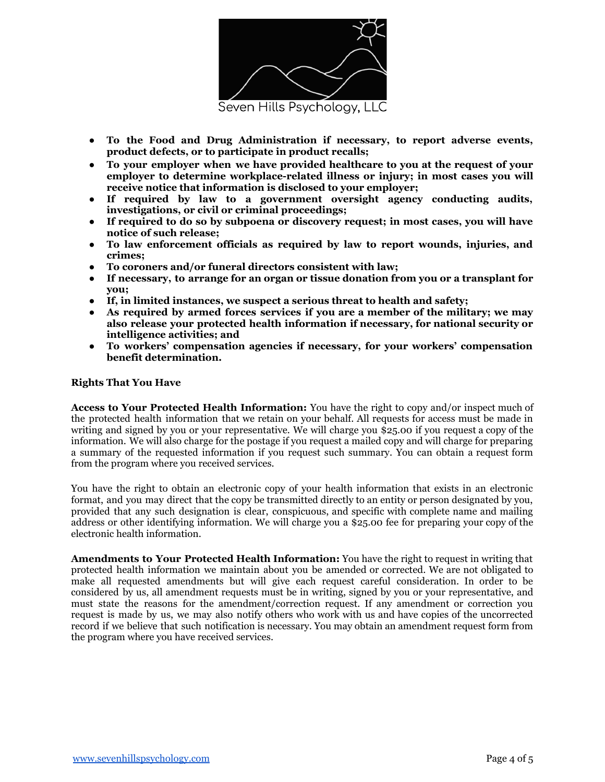

- **To the Food and Drug Administration if necessary, to report adverse events, product defects, or to participate in product recalls;**
- **To your employer when we have provided healthcare to you at the request of your employer to determine workplace-related illness or injury; in most cases you will receive notice that information is disclosed to your employer;**
- **If required by law to a government oversight agency conducting audits, investigations, or civil or criminal proceedings;**
- **If required to do so by subpoena or discovery request; in most cases, you will have notice of such release;**
- **To law enforcement officials as required by law to report wounds, injuries, and crimes;**
- **To coroners and/or funeral directors consistent with law;**
- **If necessary, to arrange for an organ or tissue donation from you or a transplant for you;**
- **If, in limited instances, we suspect a serious threat to health and safety;**
- **As required by armed forces services if you are a member of the military; we may also release your protected health information if necessary, for national security or intelligence activities; and**
- **To workers' compensation agencies if necessary, for your workers' compensation benefit determination.**

### **Rights That You Have**

**Access to Your Protected Health Information:** You have the right to copy and/or inspect much of the protected health information that we retain on your behalf. All requests for access must be made in writing and signed by you or your representative. We will charge you \$25.00 if you request a copy of the information. We will also charge for the postage if you request a mailed copy and will charge for preparing a summary of the requested information if you request such summary. You can obtain a request form from the program where you received services.

You have the right to obtain an electronic copy of your health information that exists in an electronic format, and you may direct that the copy be transmitted directly to an entity or person designated by you, provided that any such designation is clear, conspicuous, and specific with complete name and mailing address or other identifying information. We will charge you a \$25.00 fee for preparing your copy of the electronic health information.

**Amendments to Your Protected Health Information:** You have the right to request in writing that protected health information we maintain about you be amended or corrected. We are not obligated to make all requested amendments but will give each request careful consideration. In order to be considered by us, all amendment requests must be in writing, signed by you or your representative, and must state the reasons for the amendment/correction request. If any amendment or correction you request is made by us, we may also notify others who work with us and have copies of the uncorrected record if we believe that such notification is necessary. You may obtain an amendment request form from the program where you have received services.